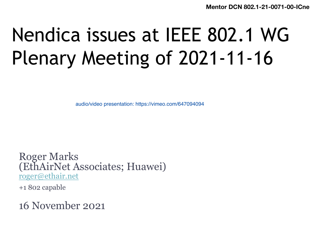**Mentor DCN 802.1-21** 

# Nendica issues at IEEE 802.1 V Plenary Meeting of 2021-11-16

audio/video presentation: https://vimeo.com/647094094

Roger Marks (EthAirNet Associates; Huawei) roger@ethair.net

+1 802 capable

16 November 2021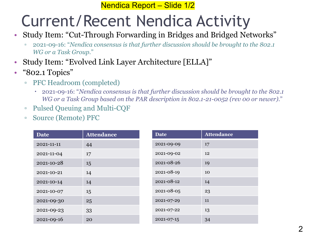#### Nendica Report – Slide 1/2

#### Current/Recent Nendica Activity

- Study Item: "Cut-Through Forwarding in Bridges and Bridged Networks"
	- 2021-09-16: "*Nendica consensus is that further discussion should be brought to the 802.1 WG or a Task Group*."
- Study Item: "Evolved Link Layer Architecture [ELLA]"
- "802.1 Topics"
	- PFC Headroom (completed)
		- 2021-09-16: "*Nendica consensus is that further discussion should be brought to the 802.1 WG or a Task Group based on the PAR description in 802.1-21-0052 (rev 00 or newer)*."
	- Pulsed Queuing and Multi-CQF
	- Source (Remote) PFC

| <b>Date</b> | <b>Attendance</b> | <b>Date</b> | <b>Attendance</b> |
|-------------|-------------------|-------------|-------------------|
| 2021-11-11  | 44                | 2021-09-09  | 17                |
| 2021-11-04  | 17                | 2021-09-02  | 12                |
| 2021-10-28  | 15                | 2021-08-26  | 19                |
| 2021-10-21  | 14                | 2021-08-19  | 10                |
| 2021-10-14  | 14                | 2021-08-12  | 14                |
| 2021-10-07  | 15                | 2021-08-05  | 23                |
| 2021-09-30  | 25                | 2021-07-29  | 11                |
| 2021-09-23  | 33                | 2021-07-22  | 13                |
| 2021-09-16  | 20                | 2021-07-15  | 34                |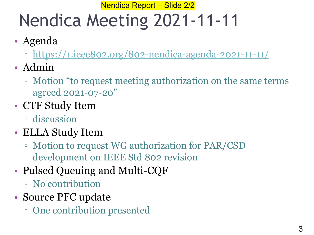#### Nendica Report - Slide 2/2

# Nendica Meeting 2021-11-11

- Agenda
	- https://1.ieee802.org/802-nendica-agenda-2021-11-11/
- Admin
	- □ Motion "to request meeting authorization on the same t agreed 2021-07-20"
- CTF Study Item
	- discussion
- ELLA Study Item
	- Motion to request WG authorization for PAR/CSD development on IEEE Std 802 revision
- Pulsed Queuing and Multi-CQF
	- No contribution
- Source PFC update
	- One contribution presented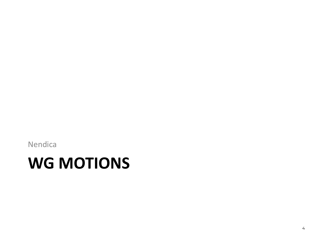Nendica

#### **WG MOTIONS**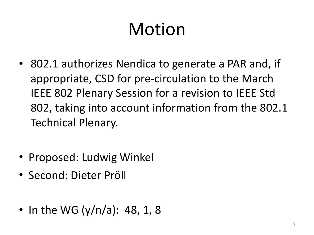- 802.1 authorizes Nendica to generate a PAR and, if appropriate, CSD for pre-circulation to the March IEEE 802 Plenary Session for a revision to IEEE Std 802, taking into account information from the 802.1 Technical Plenary.
- Proposed: Ludwig Winkel
- Second: Dieter Pröll
- In the WG (y/n/a): 48, 1, 8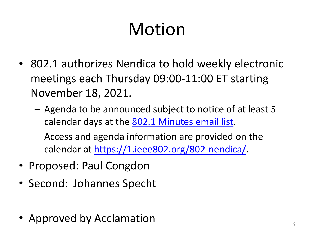- 802.1 authorizes Nendica to hold weekly electronic meetings each Thursday 09:00-11:00 ET starting November 18, 2021.
	- Agenda to be announced subject to notice of at least calendar days at the 802.1 Minutes email list.
	- Access and agenda information are provided on the calendar at https://1.ieee802.org/802-nendica/.
- Proposed: Paul Congdon
- Second: Johannes Specht
- Approved by Acclamation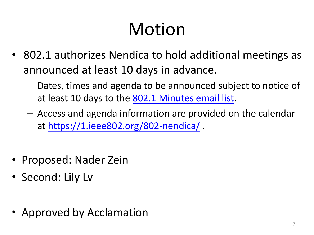- 802.1 authorizes Nendica to hold additional meet announced at least 10 days in advance.
	- $-$  Dates, times and agenda to be announced subject to notice of at least 10 days to the 802.1 Minutes email list.
	- $-$  Access and agenda information are provided on the ca at https://1.ieee802.org/802-nendica/ .
- Proposed: Nader Zein
- Second: Lily Lv
- Approved by Acclamation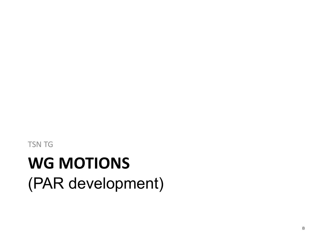## **WG MOTIONS** (PAR development)

TSN TG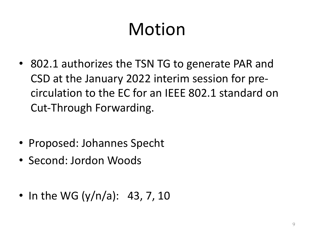- 802.1 authorizes the TSN TG to generate PAR and CSD at the January 2022 interim session for precirculation to the EC for an IEEE 802.1 standard on Cut-Through Forwarding.
- Proposed: Johannes Specht
- Second: Jordon Woods
- In the WG  $(y/n/a)$ : 43, 7, 10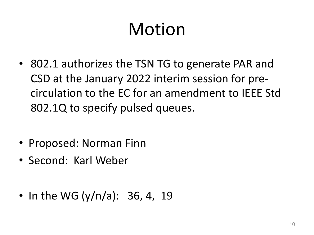- 802.1 authorizes the TSN TG to generate PAR and CSD at the January 2022 interim session for precirculation to the EC for an amendment to IEEE Std 802.1Q to specify pulsed queues.
- Proposed: Norman Finn
- Second: Karl Weber
- In the WG  $(y/n/a)$ : 36, 4, 19